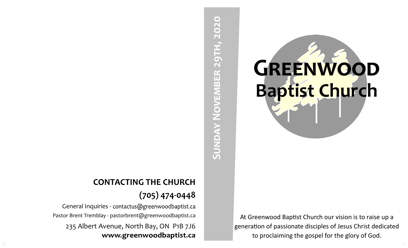

At Greenwood Baptist Church our vision is to raise up a generation of passionate disciples of Jesus Christ dedicated to proclaiming the gospel for the glory of God.

# SUNDAY NOVEMBER 29TH, 2020 **Sunday November 29th, 2020**

# **CONTACTING THE CHURCH (705) 474-0448**

General Inquiries - contactus@greenwoodbaptist.ca Pastor Brent Tremblay - pastorbrent@greenwoodbaptist.ca 235 Albert Avenue, North Bay, ON P1B 7J6 www.greenwoodbaptist.ca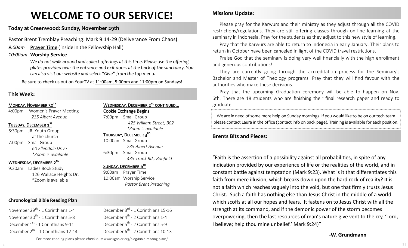# **WELCOME TO OUR SERVICE!**

#### **Today at Greenwood: Sunday, November 29th**

Pastor Brent Tremblay Preaching: Mark 9:14-29 (Deliverance From Chaos)

*9:00am* **Prayer Time** (inside in the Fellowship Hall)

#### *10:00am* **Worship Service**

*We do not walk around and collect offerings at this time. Please use the offering plates provided near the entrance and exit doors at the back of the sanctuary. You can also visit our website and select "Give" from the top menu.*

Be sure to check us out on YourTV at 11:00am, 5:00pm and 11:00pm on Sundays!

#### **This Week:**

#### MONDAY, NOVEMBER 30TH

4:00pm Women's Prayer Meeting *235 Albert Avenue*

#### Tuesday, December 1st

6:30pm JR. Youth Group at the church 7:00pm Small Group *60 Ellendale Drive \*Zoom is available*

#### WEDNESDAY, DECEMBER 2<sup>ND</sup>

9:30am Ladies Book Study 126 Wallace Heights Dr. \*Zoom is available

#### **Chronological Bible Reading Plan**

November 29<sup>th</sup> - 1 Corinthians 1-4 November 30<sup>th</sup> - 1 Corinthians 5-8 December 1<sup>st</sup> - 1 Corinthians 9-11 December 2<sup>nd</sup> - 1 Corinthians 12-14 WEDNESDAY, DECEMBER 2<sup>ND</sup> CONTINUED... Cookie Exchange Begins 7:00pm Small Group *425 William Street, B02* 

*\*Zoom is available* 

#### THURSDAY, DECEMBER 3<sup>RD</sup>

10:00am Small Group *235 Albert Avenue* 6:30pm Small Group *435 Trunk Rd., Bonfield*

#### SUNDAY, DECEMBER 6TH

9:00am Prayer Time 10:00am Worship Service *Pastor Brent Preaching*

December 3<sup>rd</sup> - 1 Corinthians 15-16 December 4<sup>th</sup> - 2 Corinthians 1-4 December 5<sup>th</sup> - 2 Corinthians 5-9 December 6<sup>th</sup> - 2 Corinthians 10-13

## **Missions Update:**

Please pray for the Karwurs and their ministry as they adjust through all the COVID restrictions/regulations. They are still offering classes through on-line learning at the seminary in Indonesia. Pray for the students as they adjust to this new style of learning.

Pray that the Karwurs are able to return to Indonesia in early January. Their plans to return in October have been canceled in light of the COVID travel restrictions.

Praise God that the seminary is doing very well financially with the high enrollment and generous contributions!

They are currently going through the accreditation process for the Seminary's Bachelor and Master of Theology programs. Pray that they will find favour with the authorities who make these decisions.

Pray that the upcoming Graduation ceremony will be able to happen on Nov. 6th. There are 18 students who are finishing their final research paper and ready to graduate.

We are in need of some more help on Sunday mornings. If you would like to be on our tech team please contact Laura in the office (contact info on back page). Training is available for each position.

#### **Brents Bits and Pieces:**

"Faith is the assertion of a possibility against all probabilities, in spite of any indication provided by our experience of life or the realities of the world, and in constant battle against temptation (Mark 9:23). What is it that differentiates this faith from mere illusion, which breaks down upon the hard rock of reality? It is not a faith which reaches vaguely into the void, but one that firmly trusts Jesus Christ. Such a faith has nothing else than Jesus Christ in the middle of a world which scoffs at all our hopes and fears. It fastens on to Jesus Christ with all the strength at its command, and if the demonic power of the storm becomes overpowering, then the last resources of man's nature give vent to the cry, 'Lord, I believe; help thou mine unbelief.' Mark 9:24)"

#### **-W. Grundmann**

For more reading plans please check out: www.ligonier.org/blog/bible-reading-plans/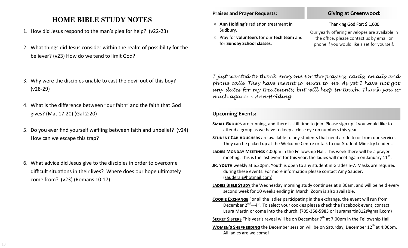# **HOME BIBLE STUDY NOTES**

- 1. How did Jesus respond to the man's plea for help? (v22-23)
- 2. What things did Jesus consider within the realm of possibility for the believer? (v23) How do we tend to limit God?
- 3. Why were the disciples unable to cast the devil out of this boy? (v28-29)
- 4. What is the difference between "our faith" and the faith that God gives? (Mat 17:20) (Gal 2:20)
- 5. Do you ever find yourself waffling between faith and unbelief? (v24) How can we escape this trap?
- 6. What advice did Jesus give to the disciples in order to overcome difficult situations in their lives? Where does our hope ultimately come from? (v23) (Romans 10:17)

#### **Praises and Prayer Requests:**

- **Ann Holding's** radiation treatment in Sudbury.
- Pray for **volunteers** for our **tech team** and for **Sunday School classes**.

#### **Giving at Greenwood:**

#### Thanking God For: \$ 1,600

Our yearly offering envelopes are available in the office, please contact us by email or phone if you would like a set for yourself.

*I just wanted to thank everyone for the prayers, cards, emails and phone calls. They have meant so much to me. As yet I have not got any dates for my treatments, but will keep in touch. Thank you so much again. ~ Ann Holding*

#### **Upcoming Events:**

- **Small Groups** are running, and there is still time to join. Please sign up if you would like to attend a group as we have to keep a close eye on numbers this year.
- **Student Cab Vouchers** are available to any students that need a ride to or from our service. They can be picked up at the Welcome Centre or talk to our Student Ministry Leaders.
- **Ladies Monday Meetings** 4:00pm in the Fellowship Hall. This week there will be a prayer meeting. This is the last event for this year, the ladies will meet again on January 11<sup>th</sup>.
- **JR. YOUTH** weekly at 6:30pm. Youth is open to any student in Grades 5-7. Masks are required during these events. For more information please contact Amy Sauder. (sauderaj@hotmail.com)
- LADIES BIBLE STUDY the Wednesday morning study continues at 9:30am, and will be held every second week for 10 weeks ending in March. Zoom is also available.
- **Cookie Exchange** For all the ladies participating in the exchange, the event will run from December 2<sup>nd</sup>—4<sup>th</sup>. To select your cookies please check the Facebook event, contact Laura Martin or come into the church. (705-358-5983 or lauramartin812@gmail.com)

**SECRET SISTERS** This year's reveal will be on December 7<sup>th</sup> at 7:00pm in the Fellowship Hall.

**WOMEN'S SHEPHERDING** the December session will be on Saturday, December 12<sup>th</sup> at 4:00pm. All ladies are welcome!